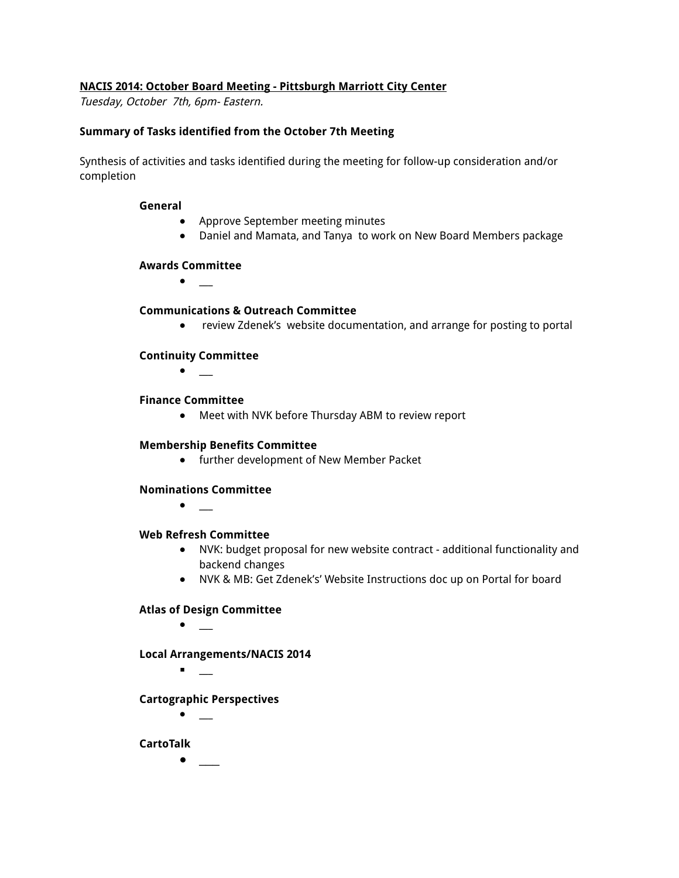#### **NACIS 2014: October Board Meeting - Pittsburgh Marriott City Center**

Tuesday, October 7th, 6pm- Eastern.

#### **Summary of Tasks identified from the October 7th Meeting**

Synthesis of activities and tasks identified during the meeting for follow-up consideration and/or completion

#### **General**

- Approve September meeting minutes
- Daniel and Mamata, and Tanya to work on New Board Members package

#### **Awards Committee**

● \_\_\_

#### **Communications & Outreach Committee**

**●** review Zdenek's website documentation, and arrange for posting to portal

### **Continuity Committee**

**●** \_\_\_

#### **Finance Committee**

**●** Meet with NVK before Thursday ABM to review report

#### **Membership Benefits Committee**

**●** further development of New Member Packet

# **Nominations Committee**

**●** \_\_\_

#### **Web Refresh Committee**

- NVK: budget proposal for new website contract additional functionality and backend changes
- **●** NVK & MB: Get Zdenek's' Website Instructions doc up on Portal for board

# **Atlas of Design Committee**

 $\bullet$  \_

**Local Arrangements/NACIS 2014**

 $\blacksquare$ 

# **Cartographic Perspectives**

**●** \_\_\_

# **CartoTalk**

**●** \_\_\_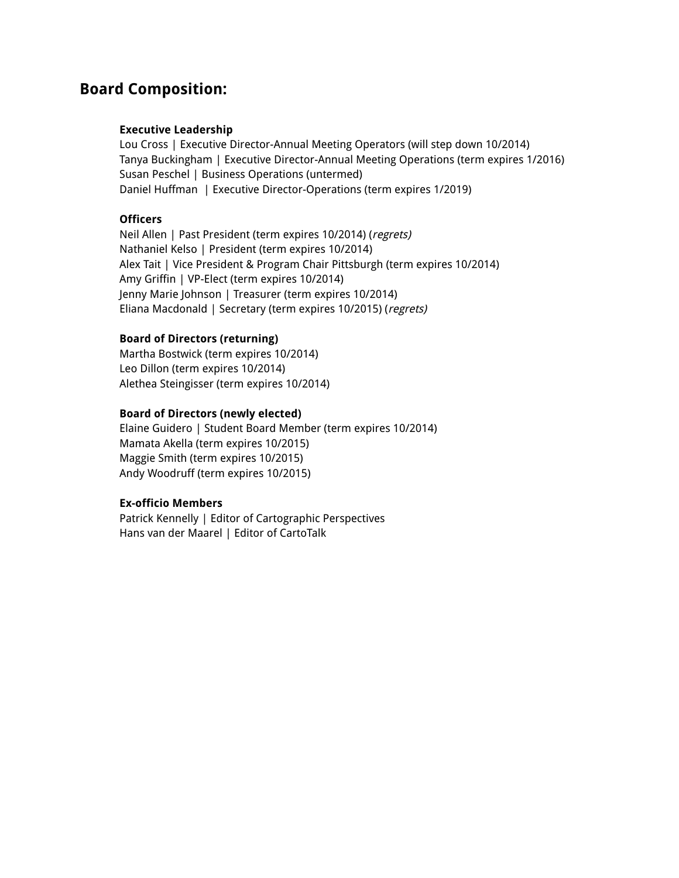# **Board Composition:**

#### **Executive Leadership**

Lou Cross | Executive Director-Annual Meeting Operators (will step down 10/2014) Tanya Buckingham | Executive Director-Annual Meeting Operations (term expires 1/2016) Susan Peschel | Business Operations (untermed) Daniel Huffman | Executive Director-Operations (term expires 1/2019)

#### **Officers**

Neil Allen | Past President (term expires 10/2014) (regrets) Nathaniel Kelso | President (term expires 10/2014) Alex Tait | Vice President & Program Chair Pittsburgh (term expires 10/2014) Amy Griffin | VP-Elect (term expires 10/2014) Jenny Marie Johnson | Treasurer (term expires 10/2014) Eliana Macdonald | Secretary (term expires 10/2015) (regrets)

#### **Board of Directors (returning)**

Martha Bostwick (term expires 10/2014) Leo Dillon (term expires 10/2014) Alethea Steingisser (term expires 10/2014)

#### **Board of Directors (newly elected)**

Elaine Guidero | Student Board Member (term expires 10/2014) Mamata Akella (term expires 10/2015) Maggie Smith (term expires 10/2015) Andy Woodruff (term expires 10/2015)

#### **Ex-officio Members**

Patrick Kennelly | Editor of Cartographic Perspectives Hans van der Maarel | Editor of CartoTalk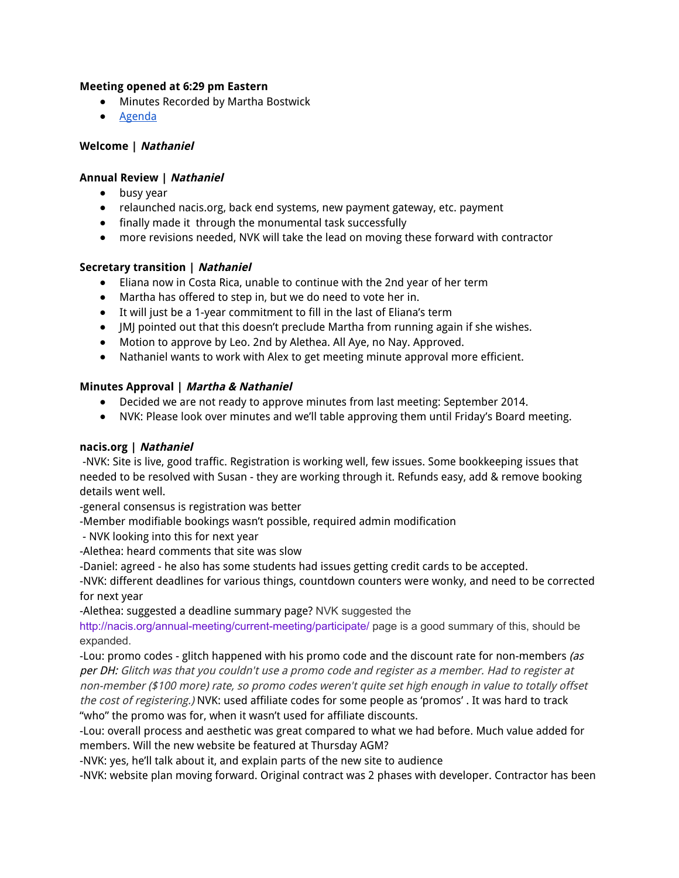#### **Meeting opened at 6:29 pm Eastern**

- Minutes Recorded by Martha Bostwick
- Agenda

#### **Welcome | Nathaniel**

#### **Annual Review | Nathaniel**

- busy year
- relaunched nacis.org, back end systems, new payment gateway, etc. payment
- finally made it through the monumental task successfully
- more revisions needed, NVK will take the lead on moving these forward with contractor

#### **Secretary transition | Nathaniel**

- Eliana now in Costa Rica, unable to continue with the 2nd year of her term
- Martha has offered to step in, but we do need to vote her in.
- It will just be a 1-year commitment to fill in the last of Eliana's term
- JMJ pointed out that this doesn't preclude Martha from running again if she wishes.
- Motion to approve by Leo. 2nd by Alethea. All Aye, no Nay. Approved.
- Nathaniel wants to work with Alex to get meeting minute approval more efficient.

#### **Minutes Approval | Martha & Nathaniel**

- Decided we are not ready to approve minutes from last meeting: September 2014.
- NVK: Please look over minutes and we'll table approving them until Friday's Board meeting.

#### **nacis.org | Nathaniel**

-NVK: Site is live, good traffic. Registration is working well, few issues. Some bookkeeping issues that needed to be resolved with Susan - they are working through it. Refunds easy, add & remove booking details went well.

-general consensus is registration was better

-Member modifiable bookings wasn't possible, required admin modification

- NVK looking into this for next year
- -Alethea: heard comments that site was slow

-Daniel: agreed - he also has some students had issues getting credit cards to be accepted.

-NVK: different deadlines for various things, countdown counters were wonky, and need to be corrected for next year

-Alethea: suggested a deadline summary page? NVK suggested the

http://nacis.org/annual-meeting/current-meeting/participate/ page is a good summary of this, should be expanded.

-Lou: promo codes - glitch happened with his promo code and the discount rate for non-members (as per DH: Glitch was that you couldn't use <sup>a</sup> promo code and register as <sup>a</sup> member. Had to register at non-member (\$100 more) rate, so promo codes weren't quite set high enough in value to totally offset the cost of registering.) NVK: used affiliate codes for some people as 'promos' . It was hard to track "who" the promo was for, when it wasn't used for affiliate discounts.

-Lou: overall process and aesthetic was great compared to what we had before. Much value added for members. Will the new website be featured at Thursday AGM?

-NVK: yes, he'll talk about it, and explain parts of the new site to audience

-NVK: website plan moving forward. Original contract was 2 phases with developer. Contractor has been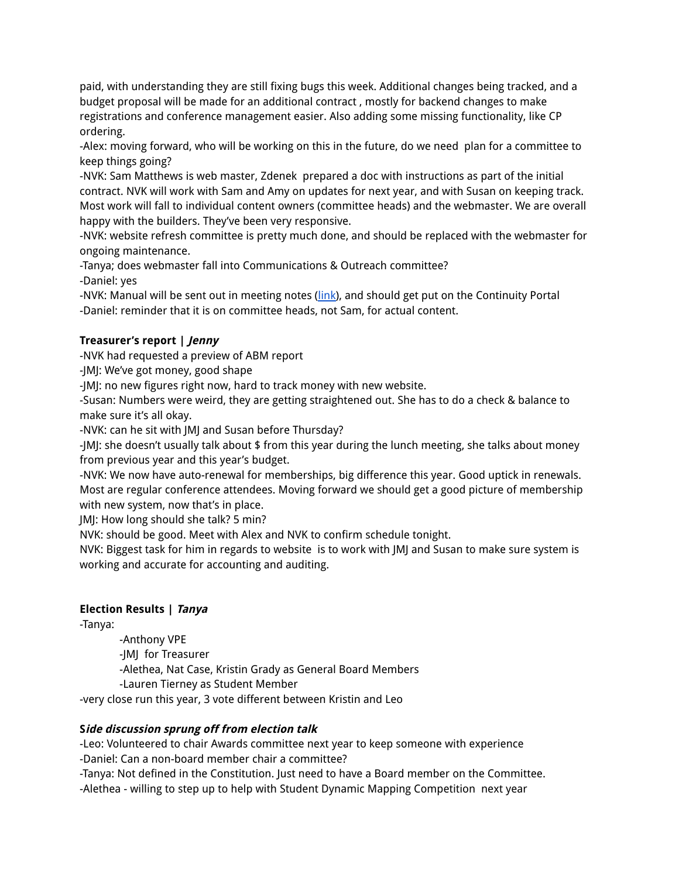paid, with understanding they are still fixing bugs this week. Additional changes being tracked, and a budget proposal will be made for an additional contract , mostly for backend changes to make registrations and conference management easier. Also adding some missing functionality, like CP ordering.

-Alex: moving forward, who will be working on this in the future, do we need plan for a committee to keep things going?

-NVK: Sam Matthews is web master, Zdenek prepared a doc with instructions as part of the initial contract. NVK will work with Sam and Amy on updates for next year, and with Susan on keeping track. Most work will fall to individual content owners (committee heads) and the webmaster. We are overall happy with the builders. They've been very responsive.

-NVK: website refresh committee is pretty much done, and should be replaced with the webmaster for ongoing maintenance.

-Tanya; does webmaster fall into Communications & Outreach committee? -Daniel: yes

-NVK: Manual will be sent out in meeting notes (link), and should get put on the Continuity Portal -Daniel: reminder that it is on committee heads, not Sam, for actual content.

# **Treasurer's report | Jenny**

-NVK had requested a preview of ABM report

-JMJ: We've got money, good shape

-JMJ: no new figures right now, hard to track money with new website.

-Susan: Numbers were weird, they are getting straightened out. She has to do a check & balance to make sure it's all okay.

-NVK: can he sit with JMJ and Susan before Thursday?

-JMJ: she doesn't usually talk about \$ from this year during the lunch meeting, she talks about money from previous year and this year's budget.

-NVK: We now have auto-renewal for memberships, big difference this year. Good uptick in renewals. Most are regular conference attendees. Moving forward we should get a good picture of membership with new system, now that's in place.

JMJ: How long should she talk? 5 min?

NVK: should be good. Meet with Alex and NVK to confirm schedule tonight.

NVK: Biggest task for him in regards to website is to work with JMJ and Susan to make sure system is working and accurate for accounting and auditing.

# **Election Results | Tanya**

-Tanya:

-Anthony VPE

-JMJ for Treasurer

-Alethea, Nat Case, Kristin Grady as General Board Members

-Lauren Tierney as Student Member

-very close run this year, 3 vote different between Kristin and Leo

# **Side discussion sprung off from election talk**

-Leo: Volunteered to chair Awards committee next year to keep someone with experience -Daniel: Can a non-board member chair a committee?

-Tanya: Not defined in the Constitution. Just need to have a Board member on the Committee.

-Alethea - willing to step up to help with Student Dynamic Mapping Competition next year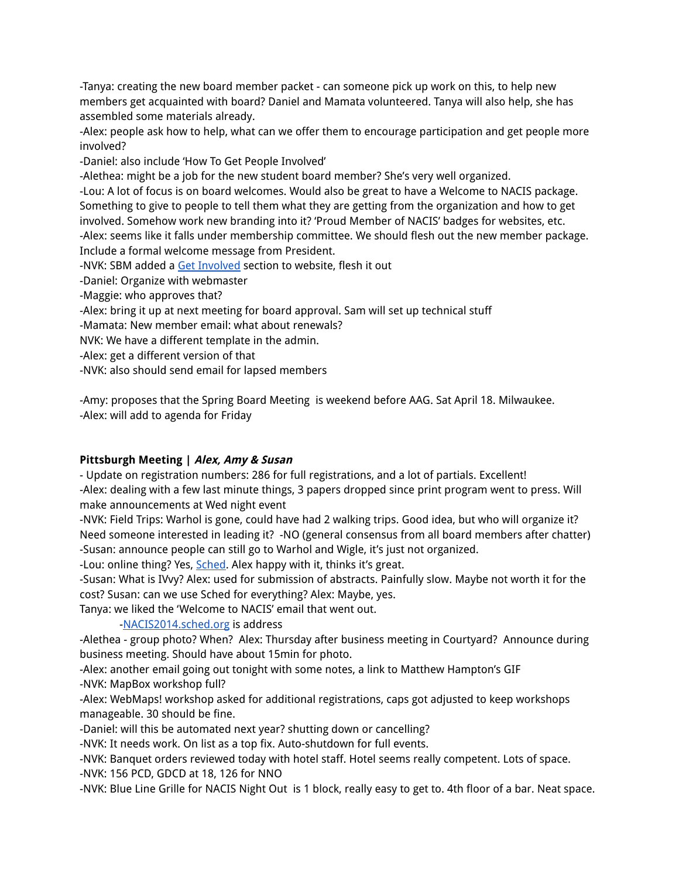-Tanya: creating the new board member packet - can someone pick up work on this, to help new members get acquainted with board? Daniel and Mamata volunteered. Tanya will also help, she has assembled some materials already.

-Alex: people ask how to help, what can we offer them to encourage participation and get people more involved?

-Daniel: also include 'How To Get People Involved'

-Alethea: might be a job for the new student board member? She's very well organized.

-Lou: A lot of focus is on board welcomes. Would also be great to have a Welcome to NACIS package. Something to give to people to tell them what they are getting from the organization and how to get involved. Somehow work new branding into it? 'Proud Member of NACIS' badges for websites, etc. -Alex: seems like it falls under membership committee. We should flesh out the new member package. Include a formal welcome message from President.

-NVK: SBM added a Get Involved section to website, flesh it out

-Daniel: Organize with webmaster

-Maggie: who approves that?

-Alex: bring it up at next meeting for board approval. Sam will set up technical stuff

-Mamata: New member email: what about renewals?

NVK: We have a different template in the admin.

-Alex: get a different version of that

-NVK: also should send email for lapsed members

-Amy: proposes that the Spring Board Meeting is weekend before AAG. Sat April 18. Milwaukee. -Alex: will add to agenda for Friday

# **Pittsburgh Meeting | Alex, Amy & Susan**

- Update on registration numbers: 286 for full registrations, and a lot of partials. Excellent!

-Alex: dealing with a few last minute things, 3 papers dropped since print program went to press. Will make announcements at Wed night event

-NVK: Field Trips: Warhol is gone, could have had 2 walking trips. Good idea, but who will organize it? Need someone interested in leading it? -NO (general consensus from all board members after chatter) -Susan: announce people can still go to Warhol and Wigle, it's just not organized.

-Lou: online thing? Yes, Sched. Alex happy with it, thinks it's great.

-Susan: What is IVvy? Alex: used for submission of abstracts. Painfully slow. Maybe not worth it for the cost? Susan: can we use Sched for everything? Alex: Maybe, yes.

Tanya: we liked the 'Welcome to NACIS' email that went out.

# -NACIS2014.sched.org is address

-Alethea - group photo? When? Alex: Thursday after business meeting in Courtyard? Announce during business meeting. Should have about 15min for photo.

-Alex: another email going out tonight with some notes, a link to Matthew Hampton's GIF -NVK: MapBox workshop full?

-Alex: WebMaps! workshop asked for additional registrations, caps got adjusted to keep workshops manageable. 30 should be fine.

-Daniel: will this be automated next year? shutting down or cancelling?

-NVK: It needs work. On list as a top fix. Auto-shutdown for full events.

-NVK: Banquet orders reviewed today with hotel staff. Hotel seems really competent. Lots of space.

-NVK: 156 PCD, GDCD at 18, 126 for NNO

-NVK: Blue Line Grille for NACIS Night Out is 1 block, really easy to get to. 4th floor of a bar. Neat space.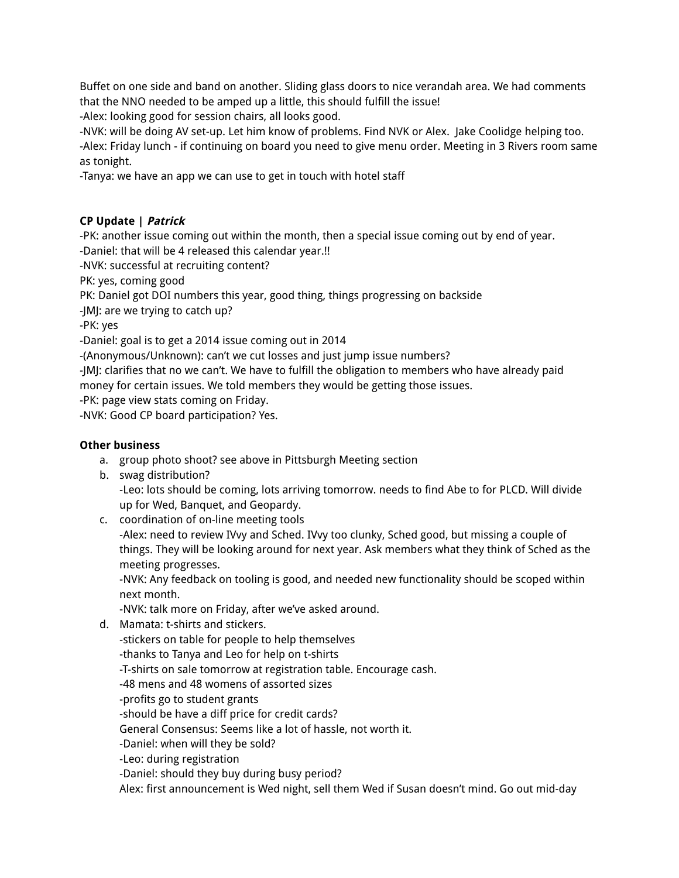Buffet on one side and band on another. Sliding glass doors to nice verandah area. We had comments that the NNO needed to be amped up a little, this should fulfill the issue!

-Alex: looking good for session chairs, all looks good.

-NVK: will be doing AV set-up. Let him know of problems. Find NVK or Alex. Jake Coolidge helping too. -Alex: Friday lunch - if continuing on board you need to give menu order. Meeting in 3 Rivers room same as tonight.

-Tanya: we have an app we can use to get in touch with hotel staff

# **CP Update | Patrick**

-PK: another issue coming out within the month, then a special issue coming out by end of year.

-Daniel: that will be 4 released this calendar year.!!

-NVK: successful at recruiting content?

PK: yes, coming good

PK: Daniel got DOI numbers this year, good thing, things progressing on backside

-JMJ: are we trying to catch up?

-PK: yes

-Daniel: goal is to get a 2014 issue coming out in 2014

-(Anonymous/Unknown): can't we cut losses and just jump issue numbers?

-JMJ: clarifies that no we can't. We have to fulfill the obligation to members who have already paid money for certain issues. We told members they would be getting those issues.

-PK: page view stats coming on Friday.

-NVK: Good CP board participation? Yes.

# **Other business**

- a. group photo shoot? see above in Pittsburgh Meeting section
- b. swag distribution? -Leo: lots should be coming, lots arriving tomorrow. needs to find Abe to for PLCD. Will divide up for Wed, Banquet, and Geopardy.
- c. coordination of on-line meeting tools

-Alex: need to review IVvy and Sched. IVvy too clunky, Sched good, but missing a couple of things. They will be looking around for next year. Ask members what they think of Sched as the meeting progresses.

-NVK: Any feedback on tooling is good, and needed new functionality should be scoped within next month.

-NVK: talk more on Friday, after we've asked around.

d. Mamata: t-shirts and stickers.

-stickers on table for people to help themselves

-thanks to Tanya and Leo for help on t-shirts

-T-shirts on sale tomorrow at registration table. Encourage cash.

- -48 mens and 48 womens of assorted sizes
- -profits go to student grants

-should be have a diff price for credit cards?

General Consensus: Seems like a lot of hassle, not worth it.

-Daniel: when will they be sold?

-Leo: during registration

-Daniel: should they buy during busy period?

Alex: first announcement is Wed night, sell them Wed if Susan doesn't mind. Go out mid-day